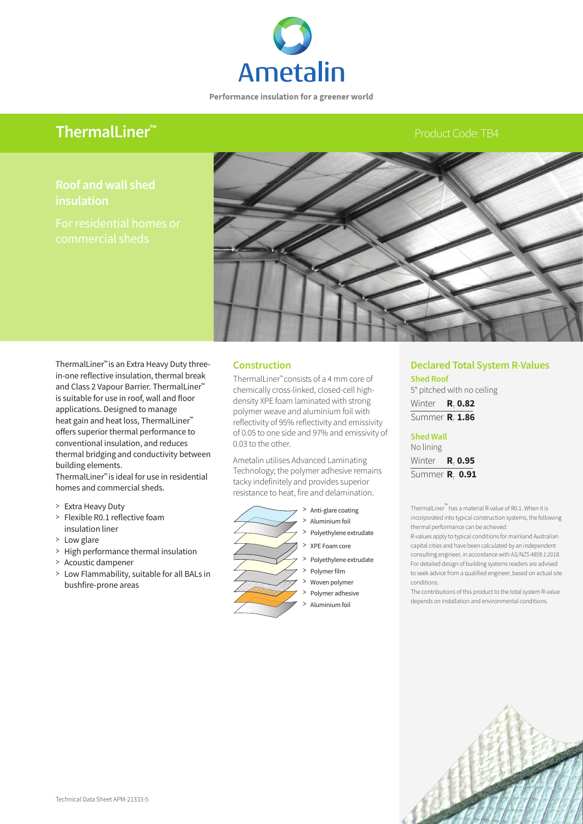

Performance insulation for a greener world

# **ThermalLiner™**

# Product Code: TB4

**insulation** 



ThermalLiner**™** is an Extra Heavy Duty threein-one reflective insulation, thermal break and Class 2 Vapour Barrier. ThermalLiner**™**  is suitable for use in roof, wall and floor applications. Designed to manage heat gain and heat loss, ThermalLiner**™**  offers superior thermal performance to conventional insulation, and reduces thermal bridging and conductivity between building elements.

ThermalLiner**™** is ideal for use in residential homes and commercial sheds.

- > Extra Heavy Duty
- > Flexible R0.1 reflective foam insulation liner
- > Low glare
- > High performance thermal insulation
- > Acoustic dampener
- > Low Flammability, suitable for all BALs in bushfire-prone areas

## **Construction**

ThermalLiner™ consists of a 4 mm core of chemically cross-linked, closed-cell highdensity XPE foam laminated with strong polymer weave and aluminium foil with reflectivity of 95% reflectivity and emissivity of 0.05 to one side and 97% and emissivity of 0.03 to the other.

Ametalin utilises Advanced Laminating Technology; the polymer adhesive remains tacky indefinitely and provides superior resistance to heat, fire and delamination.



> Anti-glare coating

- > Aluminium foil
- Polyethylene extrudate
- > XPE Foam core
- Polyethylene extrudate
- Polymer film
- > Woven polymer
- Polymer adhesive
- > Aluminium foil

# **Declared Total System R-Values**

**Shed Roof** 5° pitched with no ceiling Winter **R**<sub>T</sub> 0.82 Summer **R**<sub>T</sub> 1.86

**Shed Wall** No lining Winter **R**<sub>T</sub> 0.95 Summer **R**<sub>T</sub> 0.91

ThermalLiner™ has a material R-value of R0.1. When it is incorporated into typical construction systems, the following thermal performance can be achieved:

R-values apply to typical conditions for mainland Australian capital cities and have been calculated by an independent consulting engineer, in accordance with A*S/NZS 4859.1:2018.*  For detailed design of building systems readers are advised to seek advice from a qualified engineer, based on actual site conditions.

The contributions of this product to the total system R-value depends on installation and environmental conditions.